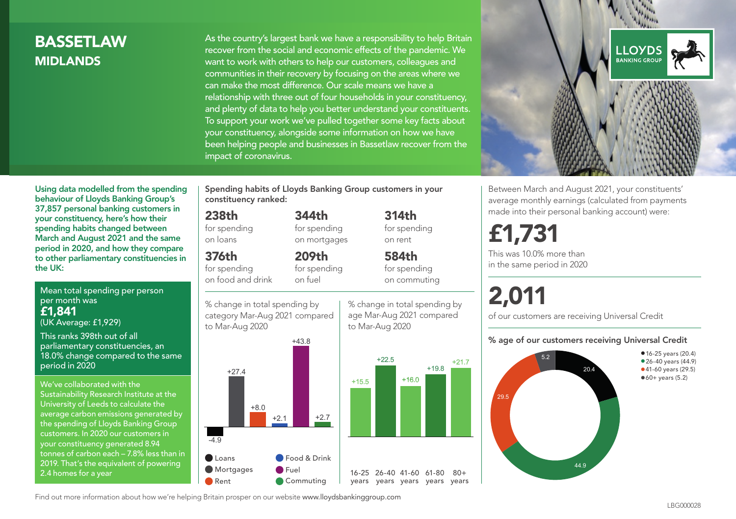## **BASSETI AW** MIDLANDS

As the country's largest bank we have a responsibility to help Britain recover from the social and economic effects of the pandemic. We want to work with others to help our customers, colleagues and communities in their recovery by focusing on the areas where we can make the most difference. Our scale means we have a relationship with three out of four households in your constituency, and plenty of data to help you better understand your constituents. To support your work we've pulled together some key facts about your constituency, alongside some information on how we have been helping people and businesses in Bassetlaw recover from the impact of coronavirus.



Between March and August 2021, your constituents' average monthly earnings (calculated from payments made into their personal banking account) were:

## £1,731

This was 10.0% more than in the same period in 2020

# 2,011

of our customers are receiving Universal Credit

#### % age of our customers receiving Universal Credit



Using data modelled from the spending behaviour of Lloyds Banking Group's 37,857 personal banking customers in your constituency, here's how their spending habits changed between March and August 2021 and the same period in 2020, and how they compare to other parliamentary constituencies in the UK:

Mean total spending per person per month was £1,841 (UK Average: £1,929)

This ranks 398th out of all parliamentary constituencies, an 18.0% change compared to the same period in 2020

We've collaborated with the Sustainability Research Institute at the University of Leeds to calculate the average carbon emissions generated by the spending of Lloyds Banking Group customers. In 2020 our customers in your constituency generated 8.94 tonnes of carbon each – 7.8% less than in 2019. That's the equivalent of powering 2.4 homes for a year

Spending habits of Lloyds Banking Group customers in your constituency ranked:

> 344th for spending on mortgages

209th for spending

## 238th

for spending on loans

## 376th

for spending on food and drink

on fuel

% change in total spending by category Mar-Aug 2021 compared to Mar-Aug 2020



% change in total spending by age Mar-Aug 2021 compared to Mar-Aug 2020

314th for spending on rent 584th for spending

on commuting

 $+19.8$   $+21.7$ 

 $80+$ 

Find out more information about how we're helping Britain prosper on our website www.lloydsbankinggroup.com